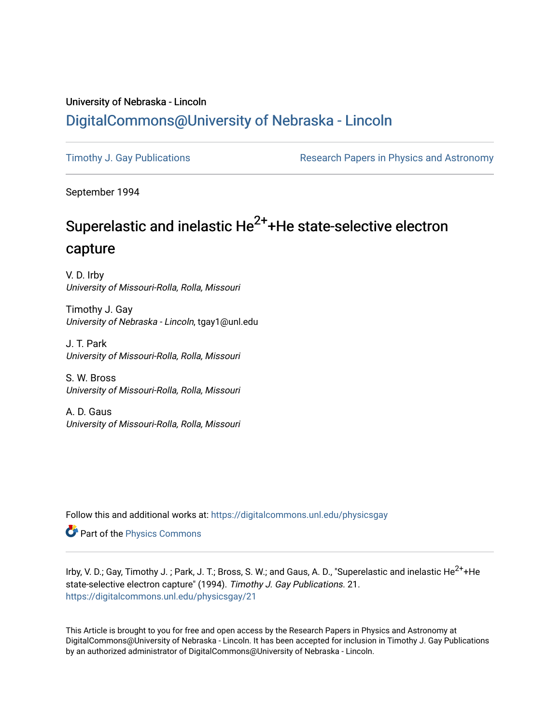### University of Nebraska - Lincoln [DigitalCommons@University of Nebraska - Lincoln](https://digitalcommons.unl.edu/)

[Timothy J. Gay Publications](https://digitalcommons.unl.edu/physicsgay) **Research Papers in Physics and Astronomy** 

September 1994

# Superelastic and inelastic  $He^{2+}$ +He state-selective electron capture

V. D. Irby University of Missouri-Rolla, Rolla, Missouri

Timothy J. Gay University of Nebraska - Lincoln, tgay1@unl.edu

J. T. Park University of Missouri-Rolla, Rolla, Missouri

S. W. Bross University of Missouri-Rolla, Rolla, Missouri

A. D. Gaus University of Missouri-Rolla, Rolla, Missouri

Follow this and additional works at: [https://digitalcommons.unl.edu/physicsgay](https://digitalcommons.unl.edu/physicsgay?utm_source=digitalcommons.unl.edu%2Fphysicsgay%2F21&utm_medium=PDF&utm_campaign=PDFCoverPages)

**P** Part of the [Physics Commons](http://network.bepress.com/hgg/discipline/193?utm_source=digitalcommons.unl.edu%2Fphysicsgay%2F21&utm_medium=PDF&utm_campaign=PDFCoverPages)

Irby, V. D.; Gay, Timothy J. ; Park, J. T.; Bross, S. W.; and Gaus, A. D., "Superelastic and inelastic He<sup>2+</sup>+He state-selective electron capture" (1994). Timothy J. Gay Publications. 21. [https://digitalcommons.unl.edu/physicsgay/21](https://digitalcommons.unl.edu/physicsgay/21?utm_source=digitalcommons.unl.edu%2Fphysicsgay%2F21&utm_medium=PDF&utm_campaign=PDFCoverPages) 

This Article is brought to you for free and open access by the Research Papers in Physics and Astronomy at DigitalCommons@University of Nebraska - Lincoln. It has been accepted for inclusion in Timothy J. Gay Publications by an authorized administrator of DigitalCommons@University of Nebraska - Lincoln.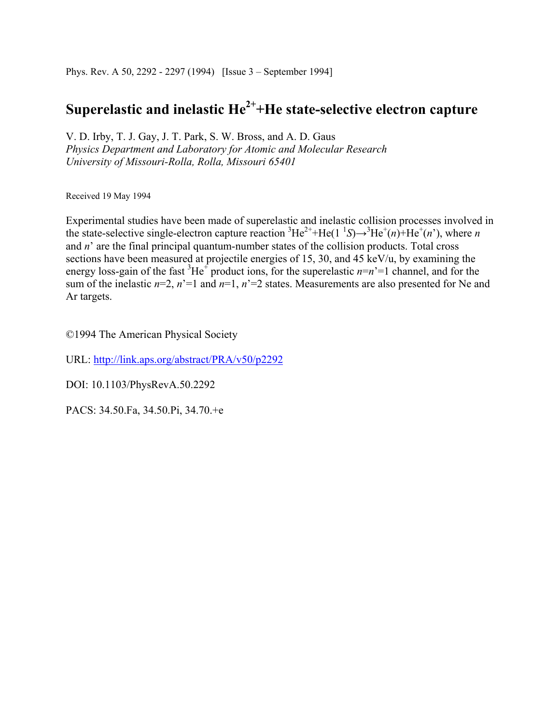Phys. Rev. A 50, 2292 - 2297 (1994) [Issue 3 – September 1994]

## **Superelastic and inelastic He2++He state-selective electron capture**

V. D. Irby, T. J. Gay, J. T. Park, S. W. Bross, and A. D. Gaus *Physics Department and Laboratory for Atomic and Molecular Research University of Missouri-Rolla, Rolla, Missouri 65401* 

Received 19 May 1994

Experimental studies have been made of superelastic and inelastic collision processes involved in the state-selective single-electron capture reaction  ${}^{3}He^{2+}+He(1~^{1}S) \rightarrow {}^{3}He^{+}(n)+He^{+}(n)$ , where *n* and *n*' are the final principal quantum-number states of the collision products. Total cross sections have been measured at projectile energies of 15, 30, and 45 keV/u, by examining the energy loss-gain of the fast  ${}^{3}He^{+}$  product ions, for the superelastic  $n=n'=1$  channel, and for the sum of the inelastic  $n=2$ ,  $n'=1$  and  $n=1$ ,  $n'=2$  states. Measurements are also presented for Ne and Ar targets.

©1994 The American Physical Society

URL: http://link.aps.org/abstract/PRA/v50/p2292

DOI: 10.1103/PhysRevA.50.2292

PACS: 34.50.Fa, 34.50.Pi, 34.70.+e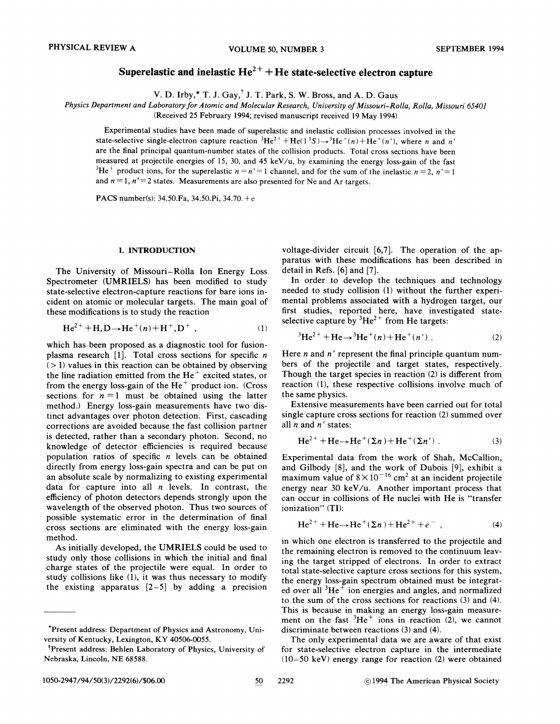### **Superelastic and inelastic**  $He^{2+} + He$  **state-selective electron capture**

V. D. Irby,\* T. J.  $\text{Gay},^{\dagger}$  J. T. Park, S. W. Bross, and A. D. Gaus

Physics Department and Laboratory for Atomic and Molecular Research, University of Missouri-Rolla, Rolla, Missouri 65401

(Received 25 February 1994; revised manuscript received 19 May 1994)

Experimental studies have been made of superelastic and inelastic collision processes involved in the state-selective single-electron capture reaction  ${}^{3}He^{2+} + He(1^1S) \rightarrow {}^{3}He^+(n) + He^+(n')$ , where n and n' are the final principal quantum-number states of the collision products. Total cross sections have been measured at projectile energies of 15, 30, and 45 keV/u, by examining the energy loss-gain of the fast <sup>3</sup>He<sup>+</sup> product ions, for the superelastic  $n = n' = 1$  channel, and for the sum of the inelastic  $n = 2$ ,  $n' = 1$ and  $n = 1$ ,  $n' = 2$  states. Measurements are also presented for Ne and Ar targets.

PACS number(s):  $34.50.Fa$ ,  $34.50.Pi$ ,  $34.70.+e$ 

#### I. INTRODUCTION

The University of Missouri-Rolla Ion Energy Loss Spectrometer (UMRIELS) has been modified to study state-selective electron-capture reactions for bare ions incident on atomic or molecular targets. The main goal of these modifications is to study the reaction

$$
\text{He}^{2+} + \text{H}, \text{D} \rightarrow \text{He}^{+}(n) + \text{H}^{+}, \text{D}^{+}, \tag{1}
$$

which has been proposed as a diagnostic tool for fusionplasma research [1]. Total cross sections for specific  $n$  $(> 1)$  values in this reaction can be obtained by observing the line radiation emitted from the  $He<sup>+</sup>$  excited states, or from the energy loss-gain of the  $He<sup>+</sup>$  product ion. (Cross sections for  $n = 1$  must be obtained using the latter method.) Energy loss-gain measurements have two distinct advantages over photon detection. First, cascading corrections are avoided because the fast collision partner is detected, rather than a secondary photon. Second, no knowledge of detector efficiencies is required because population ratios of specific  $n$  levels can be obtained directly from energy loss-gain spectra and can be put on an absolute scale by normalizing to existing experimental data for capture into all *n* levels. In contrast, the efficiency of photon detectors depends strongly upon the wavelength of the observed photon. Thus two sources of possible systematic error in the determination of final cross sections are eliminated with the energy loss-gain method.

As initially developed, the UMRIELS could be used to study only those collisions in which the initial and final charge states of the projectile were equal. In order to study collisions like  $(1)$ , it was thus necessary to modify the existing apparatus  $[2-5]$  by adding a precision

voltage-divider circuit [6,7]. The operation of the apparatus with these modifications has been described in detail in Refs. [6] and [7].

In order to develop the techniques and technology needed to study collision (1) without the further experimental problems associated with a hydrogen target, our first studies, reported here, have investigated stateselective capture by  ${}^{3}\text{He}^{2+}$  from He targets:

$$
{}^{3}\text{He}^{2+} + \text{He} \rightarrow {}^{3}\text{He}^+(n) + \text{He}^+(n'). \tag{2}
$$

Here  $n$  and  $n'$  represent the final principle quantum numbers of the projectile and target states, respectively. Though the target species in reaction (2) is different from reaction (1), these respective collisions involve much of the same physics.

Extensive measurements have been carried out for total single capture cross sections for reaction (2) summed over all  $n$  and  $n'$  states:

$$
He^{2+} + He \rightarrow He^{+}(\Sigma n) + He^{+}(\Sigma n'). \qquad (3)
$$

Experimental data from the work of Shah, McCallion, and Gilbody [8], and the work of Dubois [9], exhibit a maximum value of  $8 \times 10^{-16}$  cm<sup>2</sup> at an incident projectile energy near 30 keV/u. Another important process that can occur in collisions of He nuclei with He is "transfer ionization" (TI):

$$
He^{2+} + He \to He^{+}(\Sigma n) + He^{2+} + e^{-} \t\t(4)
$$

in which one electron is transferred to the projectile and the remaining electron is removed to the continuum leaving the target stripped of electrons. In order to extract total state-selective capture cross sections for this system, the energy loss-gain spectrum obtained must be integrated over all  ${}^{3}He^{+}$  ion energies and angles, and normalized to the sum of the cross sections for reactions (3) and (4). This is because in making an energy loss-gain measurement on the fast  ${}^{3}He^{+}$  ions in reaction (2), we cannot discriminate between reactions **(3)** and (4).

The only experimental data we are aware of that exist for state-selective electron capture in the intermediate 110-50 keVi energy range for reaction **(2)** were obtained

50

<sup>&#</sup>x27;present address: Department of Physics and Astronomy, University of Kentucky, Lexington, KY 40506-0055.

<sup>&#</sup>x27;Present address: Behlen Laboratory of Physics, University of Nebraska, Lincoln, NE 68588.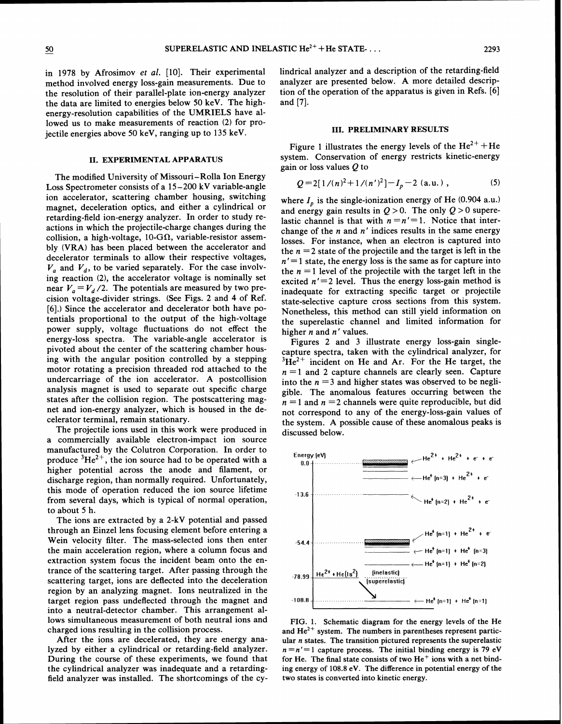in 1978 by Afrosimov *et al.* [lo]. Their experimental method involved energy loss-gain measurements. Due to the resolution of their parallel-plate ion-energy analyzer the data are limited to energies below 50 keV. The highenergy-resolution capabilities of the UMRIELS have allowed us to make measurements of reaction (2) for projectile energies above 50 keV, ranging up to 135 keV.

#### 11. EXPERIMENTAL APPARATUS

The modified University of Missouri-Rolla Ion Energy Loss Spectrometer consists of a 15-200 kV variable-angle ion accelerator, scattering chamber housing, switching magnet, deceleration optics, and either a cylindrical or retarding-field ion-energy analyzer. In order to study reactions in which the projectile-charge changes during the collision, a high-voltage, 10-G $\Omega$ , variable-resistor assembly (VRA) has been placed between the accelerator and decelerator terminals to allow their respective voltages,  $V_a$  and  $V_d$ , to be varied separately. For the case involving reaction (2), the accelerator voltage is nominally set near  $V_a = V_d/2$ . The potentials are measured by two precision voltage-divider strings. (See Figs. 2 and 4 of Ref. [6].) Since the accelerator and decelerator both have potentials proportional to the output of the high-voltage power supply, voltage fluctuations do not effect the energy-loss spectra. The variable-angle accelerator is pivoted about the center of the scattering chamber housing with the angular position controlled by a stepping motor rotating a precision threaded rod attached to the undercarriage of the ion accelerator. **A** postcollision analysis magnet is used to separate out specific charge states after the collision region. The postscattering magnet and ion-energy analyzer, which is housed in the decelerator terminal, remain stationary.

The projectile ions used in this work were produced in a commercially available electron-impact ion source manufactured by the Colutron Corporation. In order to produce  ${}^{3}He^{2+}$ , the ion source had to be operated with a higher potential across the anode and filament, or discharge region, than normally required. Unfortunately, this mode of operation reduced the ion source lifetime from several days, which is typical of normal operation, to about 5 h.

The ions are extracted by a 2-kV potential and passed through an Einzel lens focusing element before entering a Wein velocity filter. The mass-selected ions then enter the main acceleration region, where a column focus and extraction system focus the incident beam onto the entrance of the scattering target. After passing through the scattering target, ions are deflected into the deceleration region by an analyzing magnet. Ions neutralized in the target region pass undeflected through the magnet and into a neutral-detector chamber. This arrangement allows simultaneous measurement of both neutral ions and charged ions resulting in the collision process.

After the ions are decelerated, they are energy analyzed by either a cylindrical or retarding-field analyzer. During the course of these experiments, we found that the cylindrical analyzer was inadequate and a retardingfield analyzer was installed. The shortcomings of the cylindrical analyzer and a description of the retarding-field analyzer are presented below. A more detailed description of the operation of the apparatus is given in Refs. [6] and **[7].** 

#### 111. PRELIMINARY RESULTS

Figure 1 illustrates the energy levels of the  $He^{2+} + He$ system. Conservation of energy restricts kinetic-energy gain or loss values Q to

$$
Q = 2[1/(n)^{2} + 1/(n')^{2}] - I_{p} - 2 \text{ (a.u.)}, \qquad (5)
$$

where  $I_p$  is the single-ionization energy of He (0.904 a.u.) and energy gain results in  $Q > 0$ . The only  $Q > 0$  superelastic channel is that with  $n = n' = 1$ . Notice that interchange of the  $n$  and  $n'$  indices results in the same energy losses. For instance, when an electron is captured into the  $n = 2$  state of the projectile and the target is left in the  $n' = 1$  state, the energy loss is the same as for capture into the  $n = 1$  level of the projectile with the target left in the excited  $n'=2$  level. Thus the energy loss-gain method is inadequate for extracting specific target or projectile state-selective capture cross sections from this system. Nonetheless, this method can still yield information on the superelastic channel and limited information for higher n and **n'** values.

Figures 2 and **3** illustrate energy loss-gain singlecapture spectra, taken with the cylindrical analyzer, for  ${}^{3}\text{He}^{2+}$  incident on He and Ar. For the He target, the  $n = 1$  and 2 capture channels are clearly seen. Capture into the  $n = 3$  and higher states was observed to be negligible. The anomalous features occurring between the  $n = 1$  and  $n = 2$  channels were quite reproducible, but did not correspond to any of the energy-loss-gain values of the system. A possible cause of these anomalous peaks is discussed below.



FIG. 1. Schematic diagram for the energy levels of the He and  $He^{2+}$  system. The numbers in parentheses represent particular n states. The transition pictured represents the superelastic  $n = n' = 1$  capture process. The initial binding energy is 79 eV for He. The final state consists of two  $He<sup>+</sup>$  ions with a net binding energy of 108.8 eV. The difference in potential energy of the two states is converted into kinetic energy.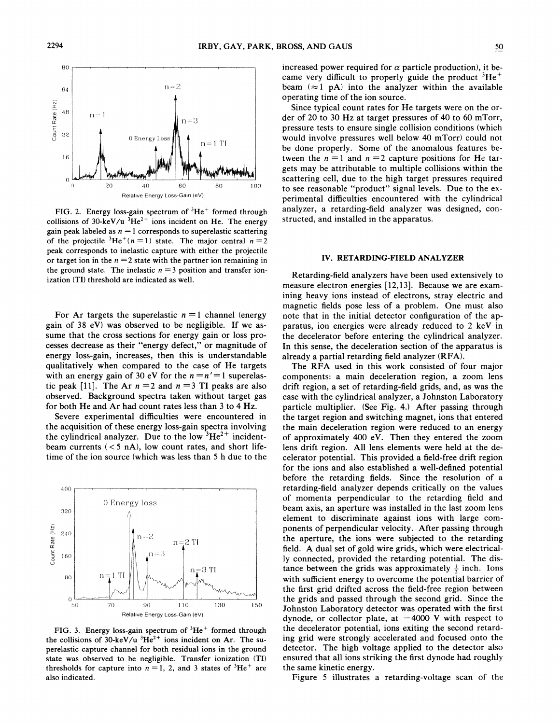

FIG. 2. Energy loss-gain spectrum of  ${}^{3}He^{+}$  formed through collisions of 30-keV/u  ${}^{3}He^{2+}$  ions incident on He. The energy gain peak labeled as  $n = 1$  corresponds to superelastic scattering of the projectile  ${}^{3}He^{+}(n = 1)$  state. The major central  $n = 2$ peak corresponds to inelastic capture with either the projectile or target ion in the  $n = 2$  state with the partner ion remaining in the ground state. The inelastic  $n = 3$  position and transfer ionization (TI) threshold are indicated as well.

For Ar targets the superelastic  $n = 1$  channel (energy gain of 38 eV) was observed to be negligible. If we assume that the cross sections for energy gain or loss processes decrease as their "energy defect," or magnitude of energy loss-gain, increases, then this is understandable qualitatively when compared to the case of He targets with an energy gain of 30 eV for the  $n = n' = 1$  superelastic peak [11]. The Ar  $n = 2$  and  $n = 3$  TI peaks are also observed. Background spectra taken without target gas for both He and Ar had count rates less than 3 to 4 Hz.

Severe experimental difficulties were encountered in the acquisition of these energy loss-gain spectra involving the cylindrical analyzer. Due to the low  ${}^{3}He^{2+}$  incidentbeam currents  $(< 5 \text{ nA})$ , low count rates, and short lifetime of the ion source (which was less than 5 h due to the



FIG. 3. Energy loss-gain spectrum of  ${}^{3}He^{+}$  formed through the collisions of 30-keV/u  ${}^{3}He^{2+}$  ions incident on Ar. The superelastic capture channel for both residual ions in the ground state was observed to be negligible. Transfer ionization (TI) thresholds for capture into  $n = 1$ , 2, and 3 states of <sup>3</sup>He<sup>+</sup> are also indicated.

increased power required for  $\alpha$  particle production), it became very difficult to properly guide the product  ${}^{3}He^{+}$ beam  $(\approx 1 \text{ pA})$  into the analyzer within the available operating time of the ion source.

Since typical count rates for He targets were on the order of 20 to 30 Hz at target pressures of 40 to 60 mTorr, pressure tests to ensure single collision conditions (which would involve pressures well below 40 mTorr) could not be done properly. Some of the anomalous features between the  $n = 1$  and  $n = 2$  capture positions for He targets may be attributable to multiple collisions within the scattering cell, due to the high target pressures required to see reasonable "product" signal levels. Due to the experimental difficulties encountered with the cylindrical analyzer, a retarding-field analyzer was designed, constructed, and installed in the apparatus.

#### **IV. RETARDING-FIELD ANALYZER**

Retarding-field analyzers have been used extensively to measure electron energies [12,13]. Because we are examining heavy ions instead of electrons, stray electric and magnetic fields pose less of a problem. One must also note that in the initial detector configuration of the apparatus, ion energies were already reduced to 2 keV in the decelerator before entering the cylindrical analyzer. In this sense, the deceleration section of the apparatus is already a partial retarding field analyzer (RFA).

The RFA used in this work consisted of four major components: a main deceleration region, a zoom lens drift region, a set of retarding-field grids, and, as was the case with the cylindrical analyzer, a Johnston Laboratory particle multiplier. (See Fig. 4.) After passing through the target region and switching magnet, ions that entered the main deceleration region were reduced to an energy of approximately 400 eV. Then they entered the zoom lens drift region. All lens elements were held at the decelerator potential. This provided a field-free drift region for the ions and also established a well-defined potential before the retarding fields. Since the resolution of a retarding-field analyzer depends critically on the values of momenta perpendicular to the retarding field and beam axis, an aperture was installed in the last zoom lens element to discriminate against ions with large components of perpendicular velocity. After passing through the aperture, the ions were subjected to the retarding field. A dual set of gold wire grids, which were electrically connected, provided the retarding potential. The distance between the grids was approximately  $\frac{1}{2}$  inch. Ions with sufficient energy to overcome the potential barrier of the first grid drifted across the field-free region between the grids and passed through the second grid. Since the Johnston Laboratory detector was operated with the first dynode, or collector plate, at  $-4000$  V with respect to the decelerator potential, ions exiting the second retarding grid were strongly accelerated and focused onto the detector. The high voltage applied to the detector also ensured that all ions striking the first dynode had roughly the same kinetic energy.

Figure 5 illustrates a retarding-voltage scan of the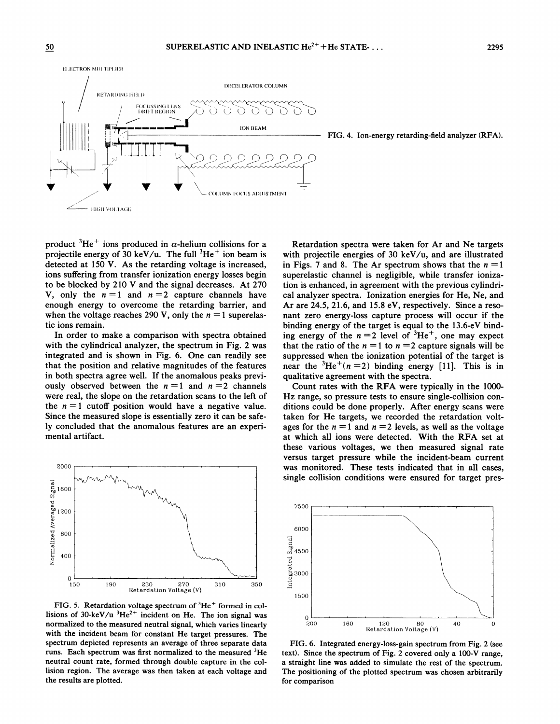

FIG. 4. Ion-energy retarding-field analyzer (RFA).

product  ${}^{3}He^{+}$  ions produced in  $\alpha$ -helium collisions for a projectile energy of 30 keV/u. The full  ${}^{3}He^{+}$  ion beam is detected at 150 V. As the retarding voltage is increased, ions suffering from transfer ionization energy losses begin to be blocked by 210 V and the signal decreases. At 270 V, only the  $n = 1$  and  $n = 2$  capture channels have enough energy to overcome the retarding barrier, and when the voltage reaches 290 V, only the  $n = 1$  superelastic ions remain.

In order to make a comparison with spectra obtained with the cylindrical analyzer, the spectrum in Fig. 2 was integrated and is shown in Fig. 6. One can readily see that the position and relative magnitudes of the features in both spectra agree well. If the anomalous peaks previously observed between the  $n = 1$  and  $n = 2$  channels were real, the slope on the retardation scans to the left of the  $n = 1$  cutoff position would have a negative value. Since the measured slope is essentially zero it can be safely concluded that the anomalous features are an experimental artifact.



FIG. 5. Retardation voltage spectrum of  ${}^{3}He^{+}$  formed in collisions of 30-keV/u  $3He^{2+}$  incident on He. The ion signal was normalized to the measured neutral signal, which varies linearly with the incident beam for constant He target pressures. The spectrum depicted represents an average of three separate data runs. Each spectrum was first normalized to the measured  ${}^{3}$ He neutral count rate, formed through double capture in the collision region. The average was then taken at each voltage and the results are plotted.

Retardation spectra were taken for Ar and Ne targets with projectile energies of 30 keV/u, and are illustrated in Figs. 7 and 8. The Ar spectrum shows that the  $n = 1$ superelastic channel is negligible, while transfer ionization is enhanced, in agreement with the previous cylindrical analyzer spectra. Ionization energies for He, Ne, and Ar are 24.5, 21.6, and 15.8 eV, respectively. Since a resonant zero energy-loss capture process will occur if the binding energy of the target is equal to the 13.6-eV binding energy of the  $n = 2$  level of  ${}^{3}He^{+}$ , one may expect that the ratio of the  $n = 1$  to  $n = 2$  capture signals will be suppressed when the ionization potential of the target is near the  ${}^{3}$ He<sup>+</sup>(n = 2) binding energy [11]. This is in qualitative agreement with the spectra.

Count rates with the RFA were typically in the 1000- Hz range, so pressure tests to ensure single-collision conditions could be done properly. After energy scans were taken for He targets, we recorded the retardation voltages for the  $n = 1$  and  $n = 2$  levels, as well as the voltage at which all ions were detected. With the RFA set at these various voltages, we then measured signal rate versus target pressure while the incident-beam current was monitored. These tests indicated that in all cases, single collision conditions were ensured for target pres-



FIG. 6. Integrated energy-loss-gain spectrum from Fig. 2 (see text). Since the spectrum of Fig. 2 covered only a 100-V range, a straight line was added to simulate the rest of the spectrum. The positioning of the plotted spectrum was chosen arbitrarily for comparison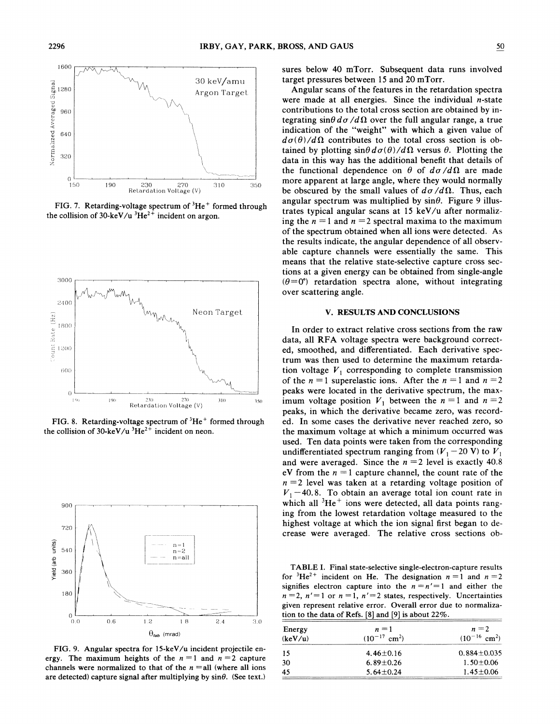

FIG. 7. Retarding-voltage spectrum of <sup>3</sup>He<sup>+</sup> formed through the collision of 30-keV/u  ${}^{3}\text{He}^{2+}$  incident on argon.



FIG. 8. Retarding-voltage spectrum of <sup>3</sup>He<sup>+</sup> formed through the collision of 30-keV/u  ${}^{3}He^{2+}$  incident on neon.



FIG. 9. Angular spectra for 15-keV/u incident projectile energy. The maximum heights of the  $n = 1$  and  $n = 2$  capture channels were normalized to that of the  $n =$ all (where all ions are detected) capture signal after multiplying by  $sin\theta$ . (See text.)

sures below 40 mTorr. Subsequent data runs involved target pressures between 15 and 20 mTorr.

Angular scans of the features in the retardation spectra were made at all energies. Since the individual  $n$ -state contributions to the total cross section are obtained by integrating  $\sin\theta d\sigma/d\Omega$  over the full angular range, a true indication of the "weight" with which a given value of  $d\sigma(\theta)/d\Omega$  contributes to the total cross section is obtained by plotting  $\sin\theta d\sigma(\theta)/d\Omega$  versus  $\theta$ . Plotting the data in this way has the additional benefit that details of the functional dependence on  $\theta$  of  $d\sigma/d\Omega$  are made more apparent at large angle, where they would normally be obscured by the small values of  $d\sigma/d\Omega$ . Thus, each angular spectrum was multiplied by  $sin\theta$ . Figure 9 illustrates typical angular scans at 15 keV/u after normalizing the  $n = 1$  and  $n = 2$  spectral maxima to the maximum of the spectrum obtained when all ions were detected. **Ah**  the results indicate, the angular dependence of all observable capture channels were essentially the same. This means that the relative state-selective capture cross sections at a given energy can be obtained from single-angle  $(\theta=0^{\circ})$  retardation spectra alone, without integrating over scattering angle.

#### **V. RESULTS AND CONCLUSIONS**

In order to extract relative cross sections from the raw data, all RFA voltage spectra were background corrected, smoothed, and differentiated. Each derivative spectrum was then used to determine the maximum retardation voltage  $V_1$  corresponding to complete transmission of the  $n = 1$  superelastic ions. After the  $n = 1$  and  $n = 2$ peaks were located in the derivative spectrum, the maximum voltage position  $V_1$  between the  $n = 1$  and  $n = 2$ peaks, in which the derivative became zero, was recorded. In some cases the derivative never reached zero, so the maximum voltage at which a minimum occurred was used. Ten data points were taken from the corresponding undifferentiated spectrum ranging from  $(V_1 - 20 \text{ V})$  to  $V_1$ and were averaged. Since the  $n = 2$  level is exactly 40.8 eV from the  $n = 1$  capture channel, the count rate of the  $n = 2$  level was taken at a retarding voltage position of  $V_1$  –40.8. To obtain an average total ion count rate in which all  ${}^{3}He^{+}$  ions were detected, all data points ranging from the lowest retardation voltage measured to the highest voltage at which the ion signal first began to decrease were averaged. The relative cross sections ob-

TABLE I. Final state-selective single-electron-capture results for <sup>3</sup>He<sup>2+</sup> incident on He. The designation  $n = 1$  and  $n = 2$ signifies electron capture into the  $n = n' = 1$  and either the  $n=2$ ,  $n'=1$  or  $n=1$ ,  $n'=2$  states, respectively. Uncertainties given represent relative error. Overall error due to normalization to the data of Refs.  $[8]$  and  $[9]$  is about 22%.

| Energy<br>(keV/u) | $n=1$<br>$(10^{-17} \text{ cm}^2)$ | $n=2$<br>$(10^{-16} \text{ cm}^2)$ |
|-------------------|------------------------------------|------------------------------------|
| 15                | $4.46 \pm 0.16$                    | $0.884 \pm 0.035$                  |
| 30                | $6.89 \pm 0.26$                    | $1.50 \pm 0.06$                    |
| 45                | $5.64 \pm 0.24$                    | $1.45 \pm 0.06$                    |